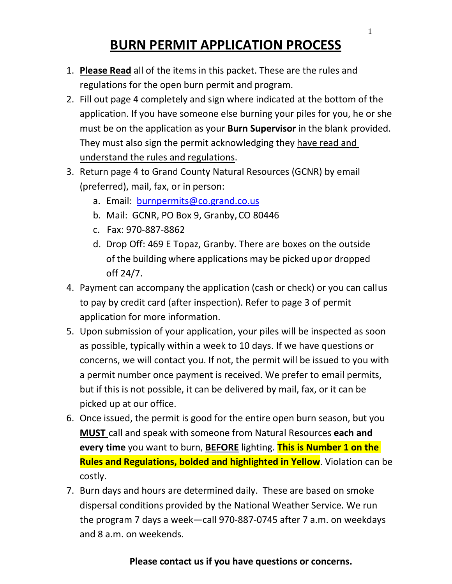# **BURN PERMIT APPLICATION PROCESS**

- 1. **Please Read** all of the items in this packet. These are the rules and regulations for the open burn permit and program.
- 2. Fill out page 4 completely and sign where indicated at the bottom of the application. If you have someone else burning your piles for you, he or she must be on the application as your **Burn Supervisor** in the blank provided. They must also sign the permit acknowledging they have read and understand the rules and regulations.
- 3. Return page 4 to Grand County Natural Resources (GCNR) by email (preferred), mail, fax, or in person:
	- a. Email: [burnpermits@co.grand.co.us](mailto:burnpermits@co.grand.co.us)
	- b. Mail: GCNR, PO Box 9, Granby,CO 80446
	- c. Fax: 970-887-8862
	- d. Drop Off: 469 E Topaz, Granby. There are boxes on the outside of the building where applications may be picked upor dropped off 24/7.
- 4. Payment can accompany the application (cash or check) or you can callus to pay by credit card (after inspection). Refer to page 3 of permit application for more information.
- 5. Upon submission of your application, your piles will be inspected as soon as possible, typically within a week to 10 days. If we have questions or concerns, we will contact you. If not, the permit will be issued to you with a permit number once payment is received. We prefer to email permits, but if this is not possible, it can be delivered by mail, fax, or it can be picked up at our office.
- 6. Once issued, the permit is good for the entire open burn season, but you **MUST** call and speak with someone from Natural Resources **each and every time** you want to burn, **BEFORE** lighting. **This is Number 1 on the Rules and Regulations, bolded and highlighted in Yellow**. Violation can be costly.
- 7. Burn days and hours are determined daily. These are based on smoke dispersal conditions provided by the National Weather Service. We run the program 7 days a week—call 970-887-0745 after 7 a.m. on weekdays and 8 a.m. on weekends.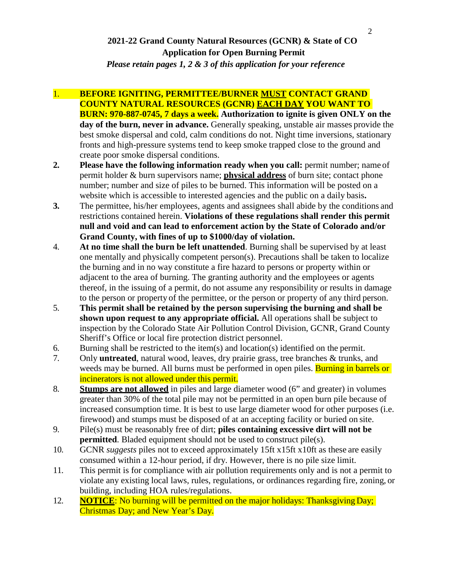## **2021-22 Grand County Natural Resources (GCNR) & State of CO Application for Open Burning Permit**

*Please retain pages 1, 2 & 3 of this application for your reference* 

- 1. **BEFORE IGNITING, PERMITTEE/BURNER MUST CONTACT GRAND COUNTY NATURAL RESOURCES (GCNR) EACH DAY YOU WANT TO BURN: 970-887-0745, 7 days a week. Authorization to ignite is given ONLY on the day of the burn, never in advance.** Generally speaking, unstable air masses provide the best smoke dispersal and cold, calm conditions do not. Night time inversions, stationary fronts and high-pressure systems tend to keep smoke trapped close to the ground and create poor smoke dispersal conditions.
- **2. Please have the following information ready when you call:** permit number; name of permit holder & burn supervisors name; **physical address** of burn site; contact phone number; number and size of piles to be burned. This information will be posted on a website which is accessible to interested agencies and the public on a daily basis**.**
- **3.** The permittee, his/her employees, agents and assignees shall abide by the conditions and restrictions contained herein. **Violations of these regulations shall render this permit null and void and can lead to enforcement action by the State of Colorado and/or Grand County, with fines of up to \$1000/day of violation.**
- 4. **At no time shall the burn be left unattended**. Burning shall be supervised by at least one mentally and physically competent person(s). Precautions shall be taken to localize the burning and in no way constitute a fire hazard to persons or property within or adjacent to the area of burning. The granting authority and the employees or agents thereof, in the issuing of a permit, do not assume any responsibility or results in damage to the person or property of the permittee, or the person or property of any third person.
- 5. **This permit shall be retained by the person supervising the burning and shall be shown upon request to any appropriate official.** All operations shall be subject to inspection by the Colorado State Air Pollution Control Division, GCNR, Grand County Sheriff's Office or local fire protection district personnel.
- 6. Burning shall be restricted to the item(s) and location(s) identified on the permit.
- 7. Only **untreated**, natural wood, leaves, dry prairie grass, tree branches & trunks, and weeds may be burned. All burns must be performed in open piles. **Burning in barrels or** incinerators is not allowed under this permit.
- 8. **Stumps are not allowed** in piles and large diameter wood (6" and greater) in volumes greater than 30% of the total pile may not be permitted in an open burn pile because of increased consumption time. It is best to use large diameter wood for other purposes (i.e. firewood) and stumps must be disposed of at an accepting facility or buried on site.
- 9. Pile(s) must be reasonably free of dirt; **piles containing excessive dirt will not be permitted**. Bladed equipment should not be used to construct pile(s).
- 10. GCNR *suggests* piles not to exceed approximately 15ft x15ft x10ft as these are easily consumed within a 12-hour period, if dry. However, there is no pile size limit.
- 11. This permit is for compliance with air pollution requirements only and is not a permit to violate any existing local laws, rules, regulations, or ordinances regarding fire, zoning, or building, including HOA rules/regulations.
- 12. **NOTICE**: No burning will be permitted on the major holidays: Thanksgiving Day; Christmas Day; and New Year's Day.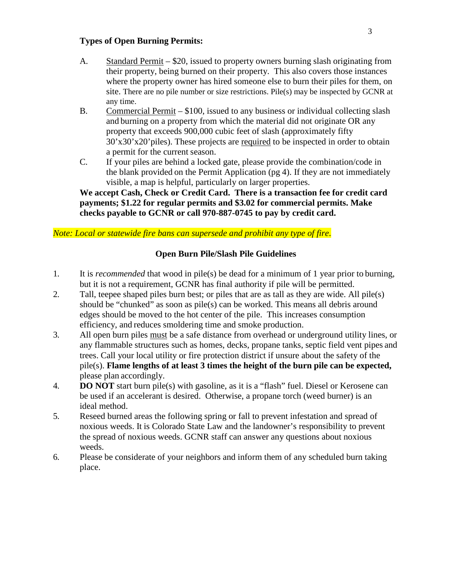### **Types of Open Burning Permits:**

- A. Standard Permit \$20, issued to property owners burning slash originating from their property, being burned on their property. This also covers those instances where the property owner has hired someone else to burn their piles for them, on site. There are no pile number or size restrictions. Pile(s) may be inspected by GCNR at any time.
- B. Commercial Permit \$100, issued to any business or individual collecting slash and burning on a property from which the material did not originate OR any property that exceeds 900,000 cubic feet of slash (approximately fifty 30'x30'x20'piles). These projects are required to be inspected in order to obtain a permit for the current season.
- C. If your piles are behind a locked gate, please provide the combination/code in the blank provided on the Permit Application (pg 4). If they are not immediately visible, a map is helpful, particularly on larger properties.

**We accept Cash, Check or Credit Card. There is a transaction fee for credit card payments; \$1.22 for regular permits and \$3.02 for commercial permits. Make checks payable to GCNR or call 970-887-0745 to pay by credit card.** 

#### *Note: Local or statewide fire bans can supersede and prohibit any type of fire*.

#### **Open Burn Pile/Slash Pile Guidelines**

- 1. It is *recommended* that wood in pile(s) be dead for a minimum of 1 year prior to burning, but it is not a requirement, GCNR has final authority if pile will be permitted.
- 2. Tall, teepee shaped piles burn best; or piles that are as tall as they are wide. All pile(s) should be "chunked" as soon as pile(s) can be worked. This means all debris around edges should be moved to the hot center of the pile. This increases consumption efficiency, and reduces smoldering time and smoke production.
- 3. All open burn piles must be a safe distance from overhead or underground utility lines, or any flammable structures such as homes, decks, propane tanks, septic field vent pipes and trees. Call your local utility or fire protection district if unsure about the safety of the pile(s). **Flame lengths of at least 3 times the height of the burn pile can be expected,**  please plan accordingly.
- 4. **DO NOT** start burn pile(s) with gasoline, as it is a "flash" fuel. Diesel or Kerosene can be used if an accelerant is desired. Otherwise, a propane torch (weed burner) is an ideal method.
- 5. Reseed burned areas the following spring or fall to prevent infestation and spread of noxious weeds. It is Colorado State Law and the landowner's responsibility to prevent the spread of noxious weeds. GCNR staff can answer any questions about noxious weeds.
- 6. Please be considerate of your neighbors and inform them of any scheduled burn taking place.